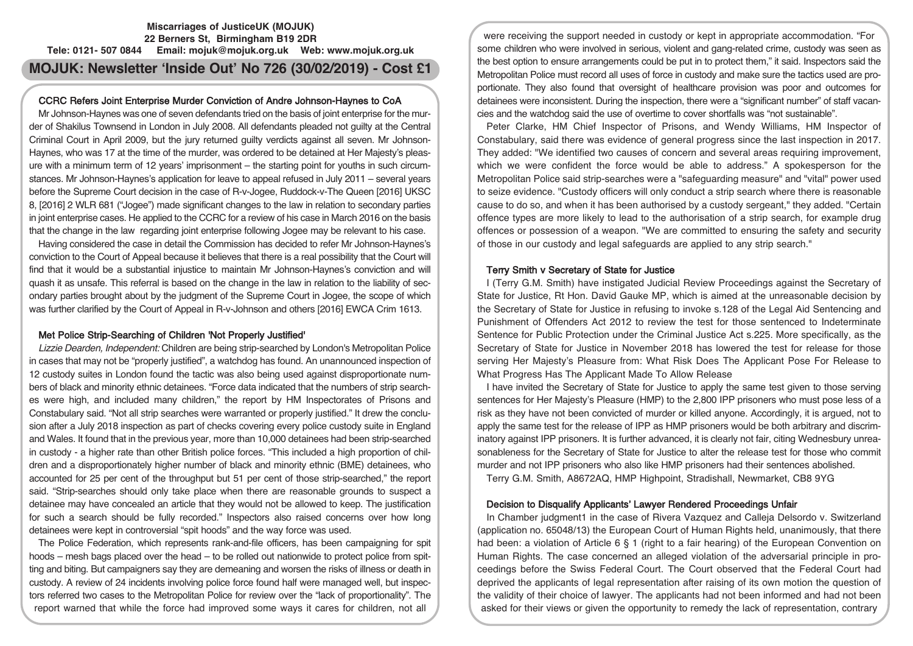# **Miscarriages of JusticeUK (MOJUK) 22 Berners St, Birmingham B19 2DR Tele: 0121- 507 0844 Email: mojuk@mojuk.org.uk Web: www.mojuk.org.uk**

# **MOJUK: Newsletter 'Inside Out' No 726 (30/02/2019) - Cost £1**

## CCRC Refers Joint Enterprise Murder Conviction of Andre Johnson-Haynes to CoA

Mr Johnson-Haynes was one of seven defendants tried on the basis of joint enterprise for the murder of Shakilus Townsend in London in July 2008. All defendants pleaded not guilty at the Central Criminal Court in April 2009, but the jury returned guilty verdicts against all seven. Mr Johnson-Haynes, who was 17 at the time of the murder, was ordered to be detained at Her Majesty's pleasure with a minimum term of 12 years' imprisonment – the starting point for youths in such circumstances. Mr Johnson-Haynes's application for leave to appeal refused in July 2011 – several years before the Supreme Court decision in the case of R-v-Jogee, Ruddock-v-The Queen [2016] UKSC 8, [2016] 2 WLR 681 ("Jogee") made significant changes to the law in relation to secondary parties in joint enterprise cases. He applied to the CCRC for a review of his case in March 2016 on the basis that the change in the law regarding joint enterprise following Jogee may be relevant to his case.

Having considered the case in detail the Commission has decided to refer Mr Johnson-Haynes's conviction to the Court of Appeal because it believes that there is a real possibility that the Court will find that it would be a substantial injustice to maintain Mr Johnson-Haynes's conviction and will quash it as unsafe. This referral is based on the change in the law in relation to the liability of secondary parties brought about by the judgment of the Supreme Court in Jogee, the scope of which was further clarified by the Court of Appeal in R-v-Johnson and others [2016] EWCA Crim 1613.

# Met Police Strip-Searching of Children 'Not Properly Justified'

Lizzie Dearden, Independent: Children are being strip-searched by London's Metropolitan Police in cases that may not be "properly justified", a watchdog has found. An unannounced inspection of 12 custody suites in London found the tactic was also being used against disproportionate numbers of black and minority ethnic detainees. "Force data indicated that the numbers of strip searches were high, and included many children," the report by HM Inspectorates of Prisons and Constabulary said. "Not all strip searches were warranted or properly justified." It drew the conclusion after a July 2018 inspection as part of checks covering every police custody suite in England and Wales. It found that in the previous year, more than 10,000 detainees had been strip-searched in custody - a higher rate than other British police forces. "This included a high proportion of children and a disproportionately higher number of black and minority ethnic (BME) detainees, who accounted for 25 per cent of the throughput but 51 per cent of those strip-searched," the report said. "Strip-searches should only take place when there are reasonable grounds to suspect a detainee may have concealed an article that they would not be allowed to keep. The justification for such a search should be fully recorded." Inspectors also raised concerns over how long detainees were kept in controversial "spit hoods" and the way force was used.

The Police Federation, which represents rank-and-file officers, has been campaigning for spit hoods – mesh bags placed over the head – to be rolled out nationwide to protect police from spitting and biting. But campaigners say they are demeaning and worsen the risks of illness or death in custody. A review of 24 incidents involving police force found half were managed well, but inspectors referred two cases to the Metropolitan Police for review over the "lack of proportionality". The report warned that while the force had improved some ways it cares for children, not all

were receiving the support needed in custody or kept in appropriate accommodation. "For some children who were involved in serious, violent and gang-related crime, custody was seen as the best option to ensure arrangements could be put in to protect them," it said. Inspectors said the Metropolitan Police must record all uses of force in custody and make sure the tactics used are proportionate. They also found that oversight of healthcare provision was poor and outcomes for detainees were inconsistent. During the inspection, there were a "significant number" of staff vacancies and the watchdog said the use of overtime to cover shortfalls was "not sustainable".

Peter Clarke, HM Chief Inspector of Prisons, and Wendy Williams, HM Inspector of Constabulary, said there was evidence of general progress since the last inspection in 2017. They added: "We identified two causes of concern and several areas requiring improvement, which we were confident the force would be able to address." A spokesperson for the Metropolitan Police said strip-searches were a "safeguarding measure" and "vital" power used to seize evidence. "Custody officers will only conduct a strip search where there is reasonable cause to do so, and when it has been authorised by a custody sergeant," they added. "Certain offence types are more likely to lead to the authorisation of a strip search, for example drug offences or possession of a weapon. "We are committed to ensuring the safety and security of those in our custody and legal safeguards are applied to any strip search."

#### Terry Smith v Secretary of State for Justice

I (Terry G.M. Smith) have instigated Judicial Review Proceedings against the Secretary of State for Justice, Rt Hon. David Gauke MP, which is aimed at the unreasonable decision by the Secretary of State for Justice in refusing to invoke s.128 of the Legal Aid Sentencing and Punishment of Offenders Act 2012 to review the test for those sentenced to Indeterminate Sentence for Public Protection under the Criminal Justice Act s.225. More specifically, as the Secretary of State for Justice in November 2018 has lowered the test for release for those serving Her Majesty's Pleasure from: What Risk Does The Applicant Pose For Release to What Progress Has The Applicant Made To Allow Release

I have invited the Secretary of State for Justice to apply the same test given to those serving sentences for Her Majesty's Pleasure (HMP) to the 2,800 IPP prisoners who must pose less of a risk as they have not been convicted of murder or killed anyone. Accordingly, it is argued, not to apply the same test for the release of IPP as HMP prisoners would be both arbitrary and discriminatory against IPP prisoners. It is further advanced, it is clearly not fair, citing Wednesbury unreasonableness for the Secretary of State for Justice to alter the release test for those who commit murder and not IPP prisoners who also like HMP prisoners had their sentences abolished.

Terry G.M. Smith, A8672AQ, HMP Highpoint, Stradishall, Newmarket, CB8 9YG

#### Decision to Disqualify Applicants' Lawyer Rendered Proceedings Unfair

In Chamber judgment1 in the case of Rivera Vazquez and Calleja Delsordo v. Switzerland (application no. 65048/13) the European Court of Human Rights held, unanimously, that there had been: a violation of Article 6 § 1 (right to a fair hearing) of the European Convention on Human Rights. The case concerned an alleged violation of the adversarial principle in proceedings before the Swiss Federal Court. The Court observed that the Federal Court had deprived the applicants of legal representation after raising of its own motion the question of the validity of their choice of lawyer. The applicants had not been informed and had not been asked for their views or given the opportunity to remedy the lack of representation, contrary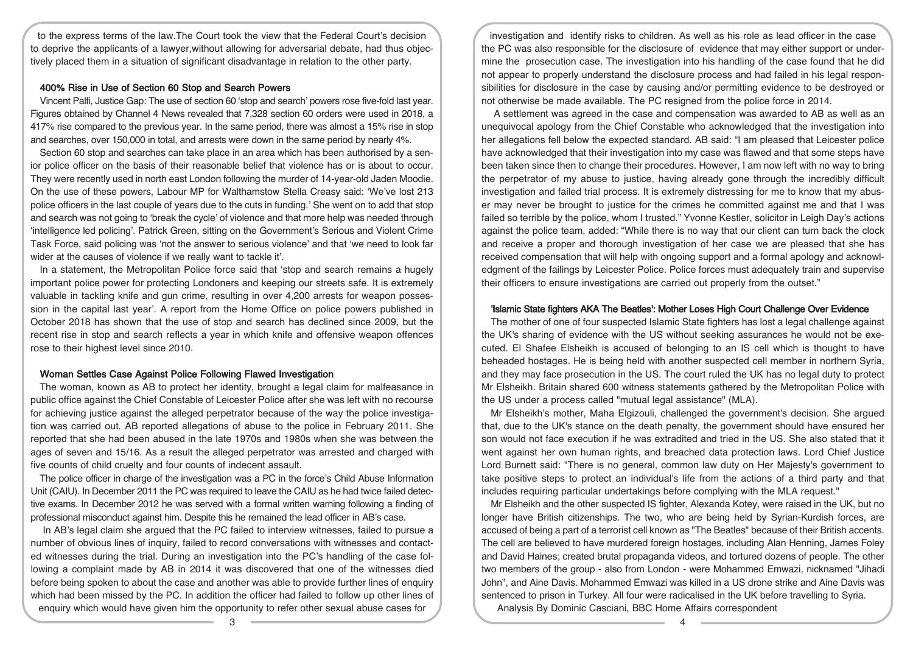to the express terms of the law.The Court took the view that the Federal Court's decision to deprive the applicants of a lawyer,without allowing for adversarial debate, had thus objectively placed them in a situation of significant disadvantage in relation to the other party.

### 400% Rise in Use of Section 60 Stop and Search Powers

Vincent Palfi, Justice Gap: The use of section 60 'stop and search' powers rose five-fold last year. Figures obtained by Channel 4 News revealed that 7,328 section 60 orders were used in 2018, a 417% rise compared to the previous year. In the same period, there was almost a 15% rise in stop and searches, over 150,000 in total, and arrests were down in the same period by nearly 4%.

Section 60 stop and searches can take place in an area which has been authorised by a senior police officer on the basis of their reasonable belief that violence has or is about to occur. They were recently used in north east London following the murder of 14-year-old Jaden Moodie. On the use of these powers, Labour MP for Walthamstow Stella Creasy said: 'We've lost 213 police officers in the last couple of years due to the cuts in funding.' She went on to add that stop and search was not going to 'break the cycle' of violence and that more help was needed through 'intelligence led policing'. Patrick Green, sitting on the Government's Serious and Violent Crime Task Force, said policing was 'not the answer to serious violence' and that 'we need to look far wider at the causes of violence if we really want to tackle it'.

In a statement, the Metropolitan Police force said that 'stop and search remains a hugely important police power for protecting Londoners and keeping our streets safe. It is extremely valuable in tackling knife and gun crime, resulting in over 4,200 arrests for weapon possession in the capital last year'. A report from the Home Office on police powers published in October 2018 has shown that the use of stop and search has declined since 2009, but the recent rise in stop and search reflects a year in which knife and offensive weapon offences rose to their highest level since 2010.

#### Woman Settles Case Against Police Following Flawed Investigation

The woman, known as AB to protect her identity, brought a legal claim for malfeasance in public office against the Chief Constable of Leicester Police after she was left with no recourse for achieving justice against the alleged perpetrator because of the way the police investigation was carried out. AB reported allegations of abuse to the police in February 2011. She reported that she had been abused in the late 1970s and 1980s when she was between the ages of seven and 15/16. As a result the alleged perpetrator was arrested and charged with five counts of child cruelty and four counts of indecent assault.

The police officer in charge of the investigation was a PC in the force's Child Abuse Information Unit (CAIU). In December 2011 the PC was required to leave the CAIU as he had twice failed detective exams. In December 2012 he was served with a formal written warning following a finding of professional misconduct against him. Despite this he remained the lead officer in AB's case.

In AB's legal claim she argued that the PC failed to interview witnesses, failed to pursue a number of obvious lines of inquiry, failed to record conversations with witnesses and contacted witnesses during the trial. During an investigation into the PC's handling of the case following a complaint made by AB in 2014 it was discovered that one of the witnesses died before being spoken to about the case and another was able to provide further lines of enquiry which had been missed by the PC. In addition the officer had failed to follow up other lines of enquiry which would have given him the opportunity to refer other sexual abuse cases for

investigation and identify risks to children. As well as his role as lead officer in the case the PC was also responsible for the disclosure of evidence that may either support or undermine the prosecution case. The investigation into his handling of the case found that he did not appear to properly understand the disclosure process and had failed in his legal responsibilities for disclosure in the case by causing and/or permitting evidence to be destroyed or not otherwise be made available. The PC resigned from the police force in 2014.

A settlement was agreed in the case and compensation was awarded to AB as well as an unequivocal apology from the Chief Constable who acknowledged that the investigation into her allegations fell below the expected standard. AB said: "I am pleased that Leicester police have acknowledged that their investigation into my case was flawed and that some steps have been taken since then to change their procedures. However, I am now left with no way to bring the perpetrator of my abuse to justice, having already gone through the incredibly difficult investigation and failed trial process. It is extremely distressing for me to know that my abuser may never be brought to justice for the crimes he committed against me and that I was failed so terrible by the police, whom I trusted." Yvonne Kestler, solicitor in Leigh Day's actions against the police team, added: "While there is no way that our client can turn back the clock and receive a proper and thorough investigation of her case we are pleased that she has received compensation that will help with ongoing support and a formal apology and acknowledgment of the failings by Leicester Police. Police forces must adequately train and supervise their officers to ensure investigations are carried out properly from the outset."

#### 'Islamic State fighters AKA The Beatles': Mother Loses High Court Challenge Over Evidence

The mother of one of four suspected Islamic State fighters has lost a legal challenge against the UK's sharing of evidence with the US without seeking assurances he would not be executed. El Shafee Elsheikh is accused of belonging to an IS cell which is thought to have beheaded hostages. He is being held with another suspected cell member in northern Syria, and they may face prosecution in the US. The court ruled the UK has no legal duty to protect Mr Elsheikh. Britain shared 600 witness statements gathered by the Metropolitan Police with the US under a process called "mutual legal assistance" (MLA).

Mr Elsheikh's mother, Maha Elgizouli, challenged the government's decision. She argued that, due to the UK's stance on the death penalty, the government should have ensured her son would not face execution if he was extradited and tried in the US. She also stated that it went against her own human rights, and breached data protection laws. Lord Chief Justice Lord Burnett said: "There is no general, common law duty on Her Majesty's government to take positive steps to protect an individual's life from the actions of a third party and that includes requiring particular undertakings before complying with the MLA request."

Mr Elsheikh and the other suspected IS fighter, Alexanda Kotey, were raised in the UK, but no longer have British citizenships. The two, who are being held by Syrian-Kurdish forces, are accused of being a part of a terrorist cell known as "The Beatles" because of their British accents. The cell are believed to have murdered foreign hostages, including Alan Henning, James Foley and David Haines; created brutal propaganda videos, and tortured dozens of people. The other two members of the group - also from London - were Mohammed Emwazi, nicknamed "Jihadi John", and Aine Davis. Mohammed Emwazi was killed in a US drone strike and Aine Davis was sentenced to prison in Turkey. All four were radicalised in the UK before travelling to Syria.

Analysis By Dominic Casciani, BBC Home Affairs correspondent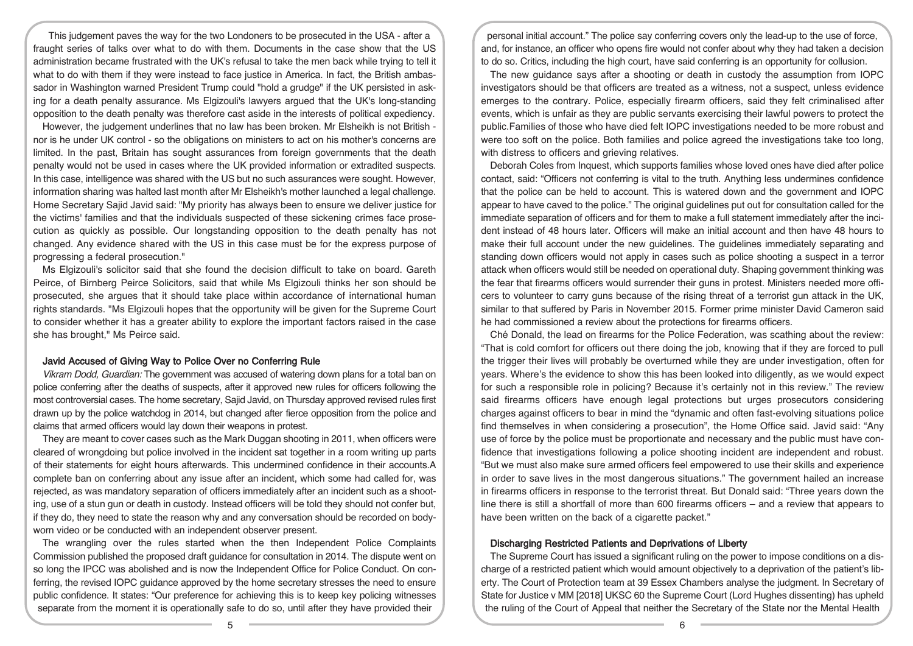This judgement paves the way for the two Londoners to be prosecuted in the USA - after a fraught series of talks over what to do with them. Documents in the case show that the US administration became frustrated with the UK's refusal to take the men back while trying to tell it what to do with them if they were instead to face justice in America. In fact, the British ambassador in Washington warned President Trump could "hold a grudge" if the UK persisted in asking for a death penalty assurance. Ms Elgizouli's lawyers argued that the UK's long-standing opposition to the death penalty was therefore cast aside in the interests of political expediency.

However, the judgement underlines that no law has been broken. Mr Elsheikh is not British nor is he under UK control - so the obligations on ministers to act on his mother's concerns are limited. In the past, Britain has sought assurances from foreign governments that the death penalty would not be used in cases where the UK provided information or extradited suspects. In this case, intelligence was shared with the US but no such assurances were sought. However, information sharing was halted last month after Mr Elsheikh's mother launched a legal challenge. Home Secretary Sajid Javid said: "My priority has always been to ensure we deliver justice for the victims' families and that the individuals suspected of these sickening crimes face prosecution as quickly as possible. Our longstanding opposition to the death penalty has not changed. Any evidence shared with the US in this case must be for the express purpose of progressing a federal prosecution."

Ms Elgizouli's solicitor said that she found the decision difficult to take on board. Gareth Peirce, of Birnberg Peirce Solicitors, said that while Ms Elgizouli thinks her son should be prosecuted, she argues that it should take place within accordance of international human rights standards. "Ms Elgizouli hopes that the opportunity will be given for the Supreme Court to consider whether it has a greater ability to explore the important factors raised in the case she has brought," Ms Peirce said.

#### Javid Accused of Giving Way to Police Over no Conferring Rule

Vikram Dodd, Guardian: The government was accused of watering down plans for a total ban on police conferring after the deaths of suspects, after it approved new rules for officers following the most controversial cases. The home secretary, Sajid Javid, on Thursday approved revised rules first drawn up by the police watchdog in 2014, but changed after fierce opposition from the police and claims that armed officers would lay down their weapons in protest.

They are meant to cover cases such as the Mark Duggan shooting in 2011, when officers were cleared of wrongdoing but police involved in the incident sat together in a room writing up parts of their statements for eight hours afterwards. This undermined confidence in their accounts.A complete ban on conferring about any issue after an incident, which some had called for, was rejected, as was mandatory separation of officers immediately after an incident such as a shooting, use of a stun gun or death in custody. Instead officers will be told they should not confer but, if they do, they need to state the reason why and any conversation should be recorded on bodyworn video or be conducted with an independent observer present.

The wrangling over the rules started when the then Independent Police Complaints Commission published the proposed draft guidance for consultation in 2014. The dispute went on so long the IPCC was abolished and is now the Independent Office for Police Conduct. On conferring, the revised IOPC guidance approved by the home secretary stresses the need to ensure public confidence. It states: "Our preference for achieving this is to keep key policing witnesses separate from the moment it is operationally safe to do so, until after they have provided their

personal initial account." The police say conferring covers only the lead-up to the use of force, and, for instance, an officer who opens fire would not confer about why they had taken a decision to do so. Critics, including the high court, have said conferring is an opportunity for collusion.

The new guidance says after a shooting or death in custody the assumption from IOPC investigators should be that officers are treated as a witness, not a suspect, unless evidence emerges to the contrary. Police, especially firearm officers, said they felt criminalised after events, which is unfair as they are public servants exercising their lawful powers to protect the public.Families of those who have died felt IOPC investigations needed to be more robust and were too soft on the police. Both families and police agreed the investigations take too long, with distress to officers and grieving relatives.

Deborah Coles from Inquest, which supports families whose loved ones have died after police contact, said: "Officers not conferring is vital to the truth. Anything less undermines confidence that the police can be held to account. This is watered down and the government and IOPC appear to have caved to the police." The original guidelines put out for consultation called for the immediate separation of officers and for them to make a full statement immediately after the incident instead of 48 hours later. Officers will make an initial account and then have 48 hours to make their full account under the new guidelines. The guidelines immediately separating and standing down officers would not apply in cases such as police shooting a suspect in a terror attack when officers would still be needed on operational duty. Shaping government thinking was the fear that firearms officers would surrender their guns in protest. Ministers needed more officers to volunteer to carry guns because of the rising threat of a terrorist gun attack in the UK, similar to that suffered by Paris in November 2015. Former prime minister David Cameron said he had commissioned a review about the protections for firearms officers.

Ché Donald, the lead on firearms for the Police Federation, was scathing about the review: "That is cold comfort for officers out there doing the job, knowing that if they are forced to pull the trigger their lives will probably be overturned while they are under investigation, often for years. Where's the evidence to show this has been looked into diligently, as we would expect for such a responsible role in policing? Because it's certainly not in this review." The review said firearms officers have enough legal protections but urges prosecutors considering charges against officers to bear in mind the "dynamic and often fast-evolving situations police find themselves in when considering a prosecution", the Home Office said. Javid said: "Any use of force by the police must be proportionate and necessary and the public must have confidence that investigations following a police shooting incident are independent and robust. "But we must also make sure armed officers feel empowered to use their skills and experience in order to save lives in the most dangerous situations." The government hailed an increase in firearms officers in response to the terrorist threat. But Donald said: "Three years down the line there is still a shortfall of more than 600 firearms officers – and a review that appears to have been written on the back of a cigarette packet."

#### Discharging Restricted Patients and Deprivations of Liberty

The Supreme Court has issued a significant ruling on the power to impose conditions on a discharge of a restricted patient which would amount objectively to a deprivation of the patient's liberty. The Court of Protection team at 39 Essex Chambers analyse the judgment. In Secretary of State for Justice v MM [2018] UKSC 60 the Supreme Court (Lord Hughes dissenting) has upheld the ruling of the Court of Appeal that neither the Secretary of the State nor the Mental Health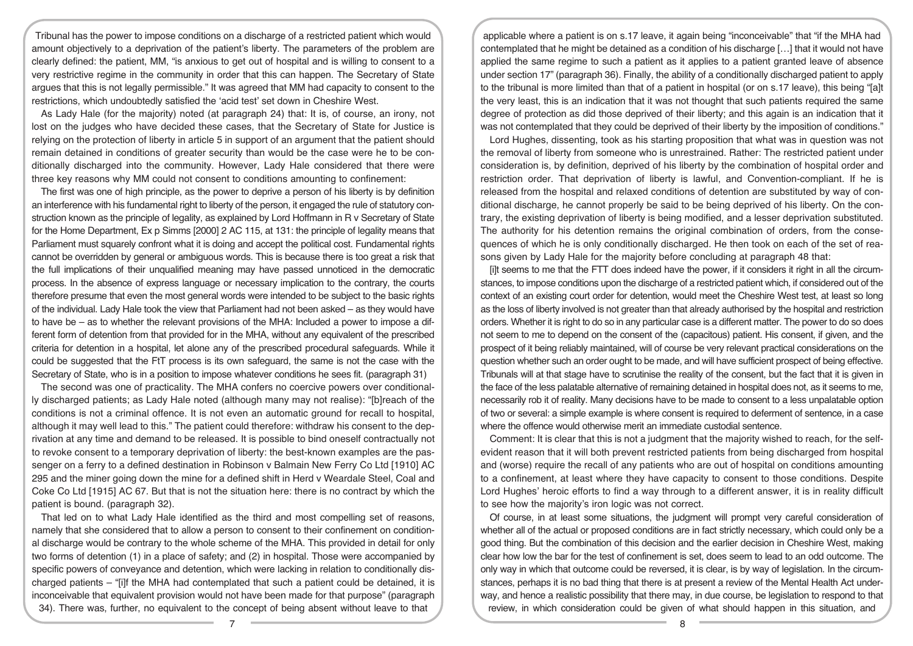Tribunal has the power to impose conditions on a discharge of a restricted patient which would amount objectively to a deprivation of the patient's liberty. The parameters of the problem are clearly defined: the patient, MM, "is anxious to get out of hospital and is willing to consent to a very restrictive regime in the community in order that this can happen. The Secretary of State argues that this is not legally permissible." It was agreed that MM had capacity to consent to the restrictions, which undoubtedly satisfied the 'acid test' set down in Cheshire West.

As Lady Hale (for the majority) noted (at paragraph 24) that: It is, of course, an irony, not lost on the judges who have decided these cases, that the Secretary of State for Justice is relying on the protection of liberty in article 5 in support of an argument that the patient should remain detained in conditions of greater security than would be the case were he to be conditionally discharged into the community. However, Lady Hale considered that there were three key reasons why MM could not consent to conditions amounting to confinement:

The first was one of high principle, as the power to deprive a person of his liberty is by definition an interference with his fundamental right to liberty of the person, it engaged the rule of statutory construction known as the principle of legality, as explained by Lord Hoffmann in R v Secretary of State for the Home Department, Ex p Simms [2000] 2 AC 115, at 131: the principle of legality means that Parliament must squarely confront what it is doing and accept the political cost. Fundamental rights cannot be overridden by general or ambiguous words. This is because there is too great a risk that the full implications of their unqualified meaning may have passed unnoticed in the democratic process. In the absence of express language or necessary implication to the contrary, the courts therefore presume that even the most general words were intended to be subject to the basic rights of the individual. Lady Hale took the view that Parliament had not been asked – as they would have to have be – as to whether the relevant provisions of the MHA: Included a power to impose a different form of detention from that provided for in the MHA, without any equivalent of the prescribed criteria for detention in a hospital, let alone any of the prescribed procedural safeguards. While it could be suggested that the FtT process is its own safeguard, the same is not the case with the Secretary of State, who is in a position to impose whatever conditions he sees fit. (paragraph 31)

The second was one of practicality. The MHA confers no coercive powers over conditionally discharged patients; as Lady Hale noted (although many may not realise): "[b]reach of the conditions is not a criminal offence. It is not even an automatic ground for recall to hospital, although it may well lead to this." The patient could therefore: withdraw his consent to the deprivation at any time and demand to be released. It is possible to bind oneself contractually not to revoke consent to a temporary deprivation of liberty: the best-known examples are the passenger on a ferry to a defined destination in Robinson v Balmain New Ferry Co Ltd [1910] AC 295 and the miner going down the mine for a defined shift in Herd v Weardale Steel, Coal and Coke Co Ltd [1915] AC 67. But that is not the situation here: there is no contract by which the patient is bound. (paragraph 32).

That led on to what Lady Hale identified as the third and most compelling set of reasons, namely that she considered that to allow a person to consent to their confinement on conditional discharge would be contrary to the whole scheme of the MHA. This provided in detail for only two forms of detention (1) in a place of safety; and (2) in hospital. Those were accompanied by specific powers of conveyance and detention, which were lacking in relation to conditionally discharged patients – "[i]f the MHA had contemplated that such a patient could be detained, it is inconceivable that equivalent provision would not have been made for that purpose" (paragraph 34). There was, further, no equivalent to the concept of being absent without leave to that

applicable where a patient is on s.17 leave, it again being "inconceivable" that "if the MHA had contemplated that he might be detained as a condition of his discharge […] that it would not have applied the same regime to such a patient as it applies to a patient granted leave of absence under section 17" (paragraph 36). Finally, the ability of a conditionally discharged patient to apply to the tribunal is more limited than that of a patient in hospital (or on s.17 leave), this being "[a]t the very least, this is an indication that it was not thought that such patients required the same degree of protection as did those deprived of their liberty; and this again is an indication that it was not contemplated that they could be deprived of their liberty by the imposition of conditions."

Lord Hughes, dissenting, took as his starting proposition that what was in question was not the removal of liberty from someone who is unrestrained. Rather: The restricted patient under consideration is, by definition, deprived of his liberty by the combination of hospital order and restriction order. That deprivation of liberty is lawful, and Convention-compliant. If he is released from the hospital and relaxed conditions of detention are substituted by way of conditional discharge, he cannot properly be said to be being deprived of his liberty. On the contrary, the existing deprivation of liberty is being modified, and a lesser deprivation substituted. The authority for his detention remains the original combination of orders, from the consequences of which he is only conditionally discharged. He then took on each of the set of reasons given by Lady Hale for the majority before concluding at paragraph 48 that:

[i]t seems to me that the FTT does indeed have the power, if it considers it right in all the circumstances, to impose conditions upon the discharge of a restricted patient which, if considered out of the context of an existing court order for detention, would meet the Cheshire West test, at least so long as the loss of liberty involved is not greater than that already authorised by the hospital and restriction orders. Whether it is right to do so in any particular case is a different matter. The power to do so does not seem to me to depend on the consent of the (capacitous) patient. His consent, if given, and the prospect of it being reliably maintained, will of course be very relevant practical considerations on the question whether such an order ought to be made, and will have sufficient prospect of being effective. Tribunals will at that stage have to scrutinise the reality of the consent, but the fact that it is given in the face of the less palatable alternative of remaining detained in hospital does not, as it seems to me, necessarily rob it of reality. Many decisions have to be made to consent to a less unpalatable option of two or several: a simple example is where consent is required to deferment of sentence, in a case where the offence would otherwise merit an immediate custodial sentence.

Comment: It is clear that this is not a judgment that the majority wished to reach, for the selfevident reason that it will both prevent restricted patients from being discharged from hospital and (worse) require the recall of any patients who are out of hospital on conditions amounting to a confinement, at least where they have capacity to consent to those conditions. Despite Lord Hughes' heroic efforts to find a way through to a different answer, it is in reality difficult to see how the majority's iron logic was not correct.

Of course, in at least some situations, the judgment will prompt very careful consideration of whether all of the actual or proposed conditions are in fact strictly necessary, which could only be a good thing. But the combination of this decision and the earlier decision in Cheshire West, making clear how low the bar for the test of confinement is set, does seem to lead to an odd outcome. The only way in which that outcome could be reversed, it is clear, is by way of legislation. In the circumstances, perhaps it is no bad thing that there is at present a review of the Mental Health Act underway, and hence a realistic possibility that there may, in due course, be legislation to respond to that review, in which consideration could be given of what should happen in this situation, and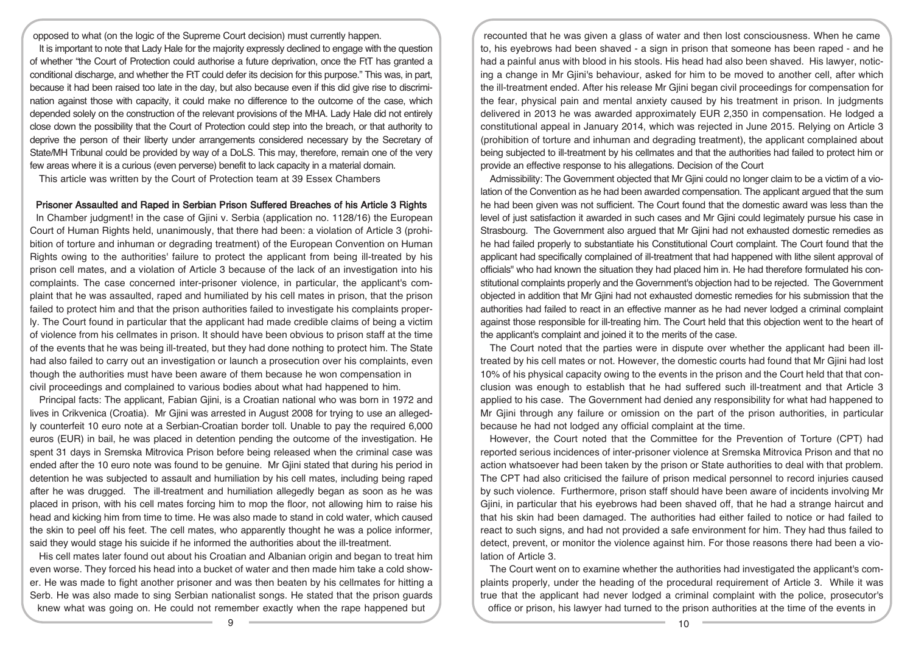opposed to what (on the logic of the Supreme Court decision) must currently happen.

It is important to note that Lady Hale for the majority expressly declined to engage with the question of whether "the Court of Protection could authorise a future deprivation, once the FtT has granted a conditional discharge, and whether the FtT could defer its decision for this purpose." This was, in part, because it had been raised too late in the day, but also because even if this did give rise to discrimination against those with capacity, it could make no difference to the outcome of the case, which depended solely on the construction of the relevant provisions of the MHA. Lady Hale did not entirely close down the possibility that the Court of Protection could step into the breach, or that authority to deprive the person of their liberty under arrangements considered necessary by the Secretary of State/MH Tribunal could be provided by way of a DoLS. This may, therefore, remain one of the very few areas where it is a curious (even perverse) benefit to lack capacity in a material domain.

This article was written by the Court of Protection team at 39 Essex Chambers

#### Prisoner Assaulted and Raped in Serbian Prison Suffered Breaches of his Article 3 Rights

In Chamber judgment! in the case of Gjini v. Serbia (application no. 1128/16) the European Court of Human Rights held, unanimously, that there had been: a violation of Article 3 (prohibition of torture and inhuman or degrading treatment) of the European Convention on Human Rights owing to the authorities' failure to protect the applicant from being ill-treated by his prison cell mates, and a violation of Article 3 because of the lack of an investigation into his complaints. The case concerned inter-prisoner violence, in particular, the applicant's complaint that he was assaulted, raped and humiliated by his cell mates in prison, that the prison failed to protect him and that the prison authorities failed to investigate his complaints properly. The Court found in particular that the applicant had made credible claims of being a victim of violence from his cellmates in prison. It should have been obvious to prison staff at the time of the events that he was being ill-treated, but they had done nothing to protect him. The State had also failed to carry out an investigation or launch a prosecution over his complaints, even though the authorities must have been aware of them because he won compensation in civil proceedings and complained to various bodies about what had happened to him.

Principal facts: The applicant, Fabian Gjini, is a Croatian national who was born in 1972 and lives in Crikvenica (Croatia). Mr Gjini was arrested in August 2008 for trying to use an allegedly counterfeit 10 euro note at a Serbian-Croatian border toll. Unable to pay the required 6,000 euros (EUR) in bail, he was placed in detention pending the outcome of the investigation. He spent 31 days in Sremska Mitrovica Prison before being released when the criminal case was ended after the 10 euro note was found to be genuine. Mr Gjini stated that during his period in detention he was subjected to assault and humiliation by his cell mates, including being raped after he was drugged. The ill-treatment and humiliation allegedly began as soon as he was placed in prison, with his cell mates forcing him to mop the floor, not allowing him to raise his head and kicking him from time to time. He was also made to stand in cold water, which caused the skin to peel off his feet. The cell mates, who apparently thought he was a police informer, said they would stage his suicide if he informed the authorities about the ill-treatment.

His cell mates later found out about his Croatian and Albanian origin and began to treat him even worse. They forced his head into a bucket of water and then made him take a cold shower. He was made to fight another prisoner and was then beaten by his cellmates for hitting a Serb. He was also made to sing Serbian nationalist songs. He stated that the prison guards knew what was going on. He could not remember exactly when the rape happened but

recounted that he was given a glass of water and then lost consciousness. When he came to, his eyebrows had been shaved - a sign in prison that someone has been raped - and he had a painful anus with blood in his stools. His head had also been shaved. His lawyer, noticing a change in Mr Gjini's behaviour, asked for him to be moved to another cell, after which the ill-treatment ended. After his release Mr Gjini began civil proceedings for compensation for the fear, physical pain and mental anxiety caused by his treatment in prison. In judgments delivered in 2013 he was awarded approximately EUR 2,350 in compensation. He lodged a constitutional appeal in January 2014, which was rejected in June 2015. Relying on Article 3 (prohibition of torture and inhuman and degrading treatment), the applicant complained about being subjected to ill-treatment by his cellmates and that the authorities had failed to protect him or provide an effective response to his allegations. Decision of the Court

Admissibility: The Government objected that Mr Gjini could no longer claim to be a victim of a violation of the Convention as he had been awarded compensation. The applicant argued that the sum he had been given was not sufficient. The Court found that the domestic award was less than the level of just satisfaction it awarded in such cases and Mr Gjini could legimately pursue his case in Strasbourg. The Government also argued that Mr Gjini had not exhausted domestic remedies as he had failed properly to substantiate his Constitutional Court complaint. The Court found that the applicant had specifically complained of ill-treatment that had happened with lithe silent approval of officials" who had known the situation they had placed him in. He had therefore formulated his constitutional complaints properly and the Government's objection had to be rejected. The Government objected in addition that Mr Gjini had not exhausted domestic remedies for his submission that the authorities had failed to react in an effective manner as he had never lodged a criminal complaint against those responsible for ill-treating him. The Court held that this objection went to the heart of the applicant's complaint and joined it to the merits of the case.

The Court noted that the parties were in dispute over whether the applicant had been illtreated by his cell mates or not. However, the domestic courts had found that Mr Gjini had lost 10% of his physical capacity owing to the events in the prison and the Court held that that conclusion was enough to establish that he had suffered such ill-treatment and that Article 3 applied to his case. The Government had denied any responsibility for what had happened to Mr Gjini through any failure or omission on the part of the prison authorities, in particular because he had not lodged any official complaint at the time.

However, the Court noted that the Committee for the Prevention of Torture (CPT) had reported serious incidences of inter-prisoner violence at Sremska Mitrovica Prison and that no action whatsoever had been taken by the prison or State authorities to deal with that problem. The CPT had also criticised the failure of prison medical personnel to record injuries caused by such violence. Furthermore, prison staff should have been aware of incidents involving Mr Gjini, in particular that his eyebrows had been shaved off, that he had a strange haircut and that his skin had been damaged. The authorities had either failed to notice or had failed to react to such signs, and had not provided a safe environment for him. They had thus failed to detect, prevent, or monitor the violence against him. For those reasons there had been a violation of Article 3.

The Court went on to examine whether the authorities had investigated the applicant's complaints properly, under the heading of the procedural requirement of Article 3. While it was true that the applicant had never lodged a criminal complaint with the police, prosecutor's office or prison, his lawyer had turned to the prison authorities at the time of the events in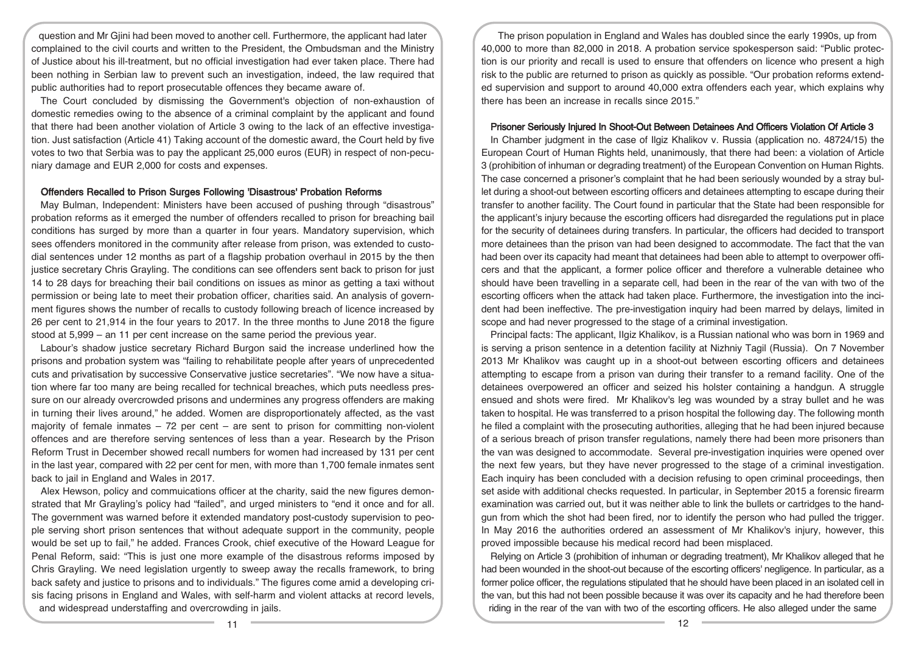question and Mr Gjini had been moved to another cell. Furthermore, the applicant had later complained to the civil courts and written to the President, the Ombudsman and the Ministry of Justice about his ill-treatment, but no official investigation had ever taken place. There had been nothing in Serbian law to prevent such an investigation, indeed, the law required that public authorities had to report prosecutable offences they became aware of.

The Court concluded by dismissing the Government's objection of non-exhaustion of domestic remedies owing to the absence of a criminal complaint by the applicant and found that there had been another violation of Article 3 owing to the lack of an effective investigation. Just satisfaction (Article 41) Taking account of the domestic award, the Court held by five votes to two that Serbia was to pay the applicant 25,000 euros (EUR) in respect of non-pecuniary damage and EUR 2,000 for costs and expenses.

#### Offenders Recalled to Prison Surges Following 'Disastrous' Probation Reforms

May Bulman, Independent: Ministers have been accused of pushing through "disastrous" probation reforms as it emerged the number of offenders recalled to prison for breaching bail conditions has surged by more than a quarter in four years. Mandatory supervision, which sees offenders monitored in the community after release from prison, was extended to custodial sentences under 12 months as part of a flagship probation overhaul in 2015 by the then justice secretary Chris Grayling. The conditions can see offenders sent back to prison for just 14 to 28 days for breaching their bail conditions on issues as minor as getting a taxi without permission or being late to meet their probation officer, charities said. An analysis of government figures shows the number of recalls to custody following breach of licence increased by 26 per cent to 21,914 in the four years to 2017. In the three months to June 2018 the figure stood at 5,999 – an 11 per cent increase on the same period the previous year.

Labour's shadow justice secretary Richard Burgon said the increase underlined how the prisons and probation system was "failing to rehabilitate people after years of unprecedented cuts and privatisation by successive Conservative justice secretaries". "We now have a situation where far too many are being recalled for technical breaches, which puts needless pressure on our already overcrowded prisons and undermines any progress offenders are making in turning their lives around," he added. Women are disproportionately affected, as the vast majority of female inmates  $-72$  per cent  $-$  are sent to prison for committing non-violent offences and are therefore serving sentences of less than a year. Research by the Prison Reform Trust in December showed recall numbers for women had increased by 131 per cent in the last year, compared with 22 per cent for men, with more than 1,700 female inmates sent back to jail in England and Wales in 2017.

Alex Hewson, policy and commuications officer at the charity, said the new figures demonstrated that Mr Grayling's policy had "failed", and urged ministers to "end it once and for all. The government was warned before it extended mandatory post-custody supervision to people serving short prison sentences that without adequate support in the community, people would be set up to fail," he added. Frances Crook, chief executive of the Howard League for Penal Reform, said: "This is just one more example of the disastrous reforms imposed by Chris Grayling. We need legislation urgently to sweep away the recalls framework, to bring back safety and justice to prisons and to individuals." The figures come amid a developing crisis facing prisons in England and Wales, with self-harm and violent attacks at record levels, and widespread understaffing and overcrowding in jails.

The prison population in England and Wales has doubled since the early 1990s, up from 40,000 to more than 82,000 in 2018. A probation service spokesperson said: "Public protection is our priority and recall is used to ensure that offenders on licence who present a high risk to the public are returned to prison as quickly as possible. "Our probation reforms extended supervision and support to around 40,000 extra offenders each year, which explains why there has been an increase in recalls since 2015."

#### Prisoner Seriously Injured In Shoot-Out Between Detainees And Officers Violation Of Article 3

In Chamber judgment in the case of Ilgiz Khalikov v. Russia (application no. 48724/15) the European Court of Human Rights held, unanimously, that there had been: a violation of Article 3 (prohibition of inhuman or degrading treatment) of the European Convention on Human Rights. The case concerned a prisoner's complaint that he had been seriously wounded by a stray bullet during a shoot-out between escorting officers and detainees attempting to escape during their transfer to another facility. The Court found in particular that the State had been responsible for the applicant's injury because the escorting officers had disregarded the regulations put in place for the security of detainees during transfers. In particular, the officers had decided to transport more detainees than the prison van had been designed to accommodate. The fact that the van had been over its capacity had meant that detainees had been able to attempt to overpower officers and that the applicant, a former police officer and therefore a vulnerable detainee who should have been travelling in a separate cell, had been in the rear of the van with two of the escorting officers when the attack had taken place. Furthermore, the investigation into the incident had been ineffective. The pre-investigation inquiry had been marred by delays, limited in scope and had never progressed to the stage of a criminal investigation.

Principal facts: The applicant, IIgiz Khalikov, is a Russian national who was born in 1969 and is serving a prison sentence in a detention facility at Nizhniy Tagil (Russia). On 7 November 2013 Mr Khalikov was caught up in a shoot-out between escorting officers and detainees attempting to escape from a prison van during their transfer to a remand facility. One of the detainees overpowered an officer and seized his holster containing a handgun. A struggle ensued and shots were fired. Mr Khalikov's leg was wounded by a stray bullet and he was taken to hospital. He was transferred to a prison hospital the following day. The following month he filed a complaint with the prosecuting authorities, alleging that he had been injured because of a serious breach of prison transfer regulations, namely there had been more prisoners than the van was designed to accommodate. Several pre-investigation inquiries were opened over the next few years, but they have never progressed to the stage of a criminal investigation. Each inquiry has been concluded with a decision refusing to open criminal proceedings, then set aside with additional checks requested. In particular, in September 2015 a forensic firearm examination was carried out, but it was neither able to link the bullets or cartridges to the handgun from which the shot had been fired, nor to identify the person who had pulled the trigger. In May 2016 the authorities ordered an assessment of Mr Khalikov's injury, however, this proved impossible because his medical record had been misplaced.

Relying on Article 3 (prohibition of inhuman or degrading treatment), Mr Khalikov alleged that he had been wounded in the shoot-out because of the escorting officers' negligence. In particular, as a former police officer, the regulations stipulated that he should have been placed in an isolated cell in the van, but this had not been possible because it was over its capacity and he had therefore been riding in the rear of the van with two of the escorting officers. He also alleged under the same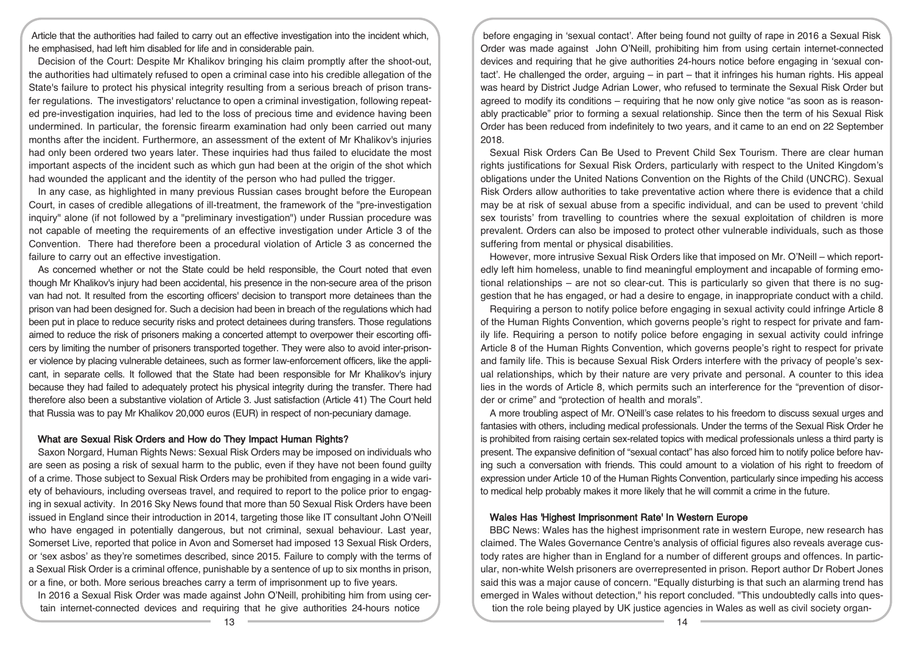Article that the authorities had failed to carry out an effective investigation into the incident which, he emphasised, had left him disabled for life and in considerable pain.

Decision of the Court: Despite Mr Khalikov bringing his claim promptly after the shoot-out, the authorities had ultimately refused to open a criminal case into his credible allegation of the State's failure to protect his physical integrity resulting from a serious breach of prison transfer regulations. The investigators' reluctance to open a criminal investigation, following repeated pre-investigation inquiries, had led to the loss of precious time and evidence having been undermined. In particular, the forensic firearm examination had only been carried out many months after the incident. Furthermore, an assessment of the extent of Mr Khalikov's injuries had only been ordered two years later. These inquiries had thus failed to elucidate the most important aspects of the incident such as which gun had been at the origin of the shot which had wounded the applicant and the identity of the person who had pulled the trigger.

In any case, as highlighted in many previous Russian cases brought before the European Court, in cases of credible allegations of ill-treatment, the framework of the "pre-investigation inquiry" alone (if not followed by a "preliminary investigation") under Russian procedure was not capable of meeting the requirements of an effective investigation under Article 3 of the Convention. There had therefore been a procedural violation of Article 3 as concerned the failure to carry out an effective investigation.

As concerned whether or not the State could be held responsible, the Court noted that even though Mr Khalikov's injury had been accidental, his presence in the non-secure area of the prison van had not. It resulted from the escorting officers' decision to transport more detainees than the prison van had been designed for. Such a decision had been in breach of the regulations which had been put in place to reduce security risks and protect detainees during transfers. Those regulations aimed to reduce the risk of prisoners making a concerted attempt to overpower their escorting officers by limiting the number of prisoners transported together. They were also to avoid inter-prisoner violence by placing vulnerable detainees, such as former law-enforcement officers, like the applicant, in separate cells. It followed that the State had been responsible for Mr Khalikov's injury because they had failed to adequately protect his physical integrity during the transfer. There had therefore also been a substantive violation of Article 3. Just satisfaction (Article 41) The Court held that Russia was to pay Mr Khalikov 20,000 euros (EUR) in respect of non-pecuniary damage.

#### What are Sexual Risk Orders and How do They Impact Human Rights?

Saxon Norgard, Human Rights News: Sexual Risk Orders may be imposed on individuals who are seen as posing a risk of sexual harm to the public, even if they have not been found guilty of a crime. Those subject to Sexual Risk Orders may be prohibited from engaging in a wide variety of behaviours, including overseas travel, and required to report to the police prior to engaging in sexual activity. In 2016 Sky News found that more than 50 Sexual Risk Orders have been issued in England since their introduction in 2014, targeting those like IT consultant John O'Neill who have engaged in potentially dangerous, but not criminal, sexual behaviour. Last year, Somerset Live, reported that police in Avon and Somerset had imposed 13 Sexual Risk Orders, or 'sex asbos' as they're sometimes described, since 2015. Failure to comply with the terms of a Sexual Risk Order is a criminal offence, punishable by a sentence of up to six months in prison, or a fine, or both. More serious breaches carry a term of imprisonment up to five years.

In 2016 a Sexual Risk Order was made against John O'Neill, prohibiting him from using certain internet-connected devices and requiring that he give authorities 24-hours notice

before engaging in 'sexual contact'. After being found not guilty of rape in 2016 a Sexual Risk Order was made against John O'Neill, prohibiting him from using certain internet-connected devices and requiring that he give authorities 24-hours notice before engaging in 'sexual contact'. He challenged the order, arguing – in part – that it infringes his human rights. His appeal was heard by District Judge Adrian Lower, who refused to terminate the Sexual Risk Order but agreed to modify its conditions – requiring that he now only give notice "as soon as is reasonably practicable" prior to forming a sexual relationship. Since then the term of his Sexual Risk Order has been reduced from indefinitely to two years, and it came to an end on 22 September 2018.

Sexual Risk Orders Can Be Used to Prevent Child Sex Tourism. There are clear human rights justifications for Sexual Risk Orders, particularly with respect to the United Kingdom's obligations under the United Nations Convention on the Rights of the Child (UNCRC). Sexual Risk Orders allow authorities to take preventative action where there is evidence that a child may be at risk of sexual abuse from a specific individual, and can be used to prevent 'child sex tourists' from travelling to countries where the sexual exploitation of children is more prevalent. Orders can also be imposed to protect other vulnerable individuals, such as those suffering from mental or physical disabilities.

However, more intrusive Sexual Risk Orders like that imposed on Mr. O'Neill – which reportedly left him homeless, unable to find meaningful employment and incapable of forming emotional relationships – are not so clear-cut. This is particularly so given that there is no suggestion that he has engaged, or had a desire to engage, in inappropriate conduct with a child.

Requiring a person to notify police before engaging in sexual activity could infringe Article 8 of the Human Rights Convention, which governs people's right to respect for private and family life. Requiring a person to notify police before engaging in sexual activity could infringe Article 8 of the Human Rights Convention, which governs people's right to respect for private and family life. This is because Sexual Risk Orders interfere with the privacy of people's sexual relationships, which by their nature are very private and personal. A counter to this idea lies in the words of Article 8, which permits such an interference for the "prevention of disorder or crime" and "protection of health and morals".

A more troubling aspect of Mr. O'Neill's case relates to his freedom to discuss sexual urges and fantasies with others, including medical professionals. Under the terms of the Sexual Risk Order he is prohibited from raising certain sex-related topics with medical professionals unless a third party is present. The expansive definition of "sexual contact" has also forced him to notify police before having such a conversation with friends. This could amount to a violation of his right to freedom of expression under Article 10 of the Human Rights Convention, particularly since impeding his access to medical help probably makes it more likely that he will commit a crime in the future.

#### Wales Has 'Highest Imprisonment Rate' In Western Europe

BBC News: Wales has the highest imprisonment rate in western Europe, new research has claimed. The Wales Governance Centre's analysis of official figures also reveals average custody rates are higher than in England for a number of different groups and offences. In particular, non-white Welsh prisoners are overrepresented in prison. Report author Dr Robert Jones said this was a major cause of concern. "Equally disturbing is that such an alarming trend has emerged in Wales without detection," his report concluded. "This undoubtedly calls into question the role being played by UK justice agencies in Wales as well as civil society organ-